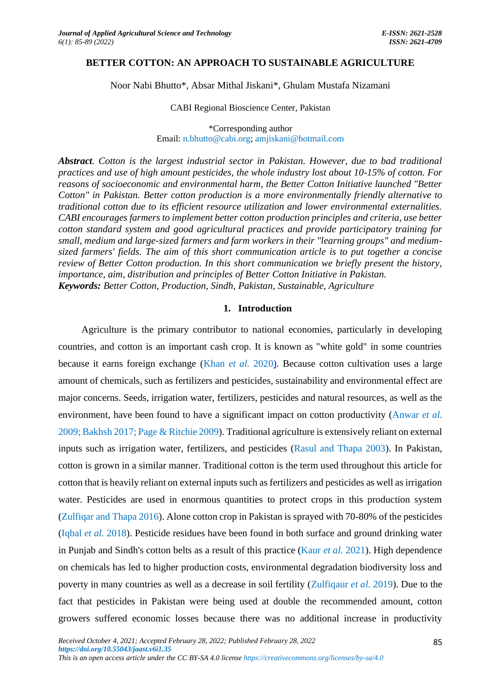### **BETTER COTTON: AN APPROACH TO SUSTAINABLE AGRICULTURE**

Noor Nabi Bhutto\*, Absar Mithal Jiskani\*, Ghulam Mustafa Nizamani

CABI Regional Bioscience Center, Pakistan

\*Corresponding author Email[: n.bhutto@cabi.org;](mailto:n.bhutto@cabi.org) [amjiskani@hotmail.com](mailto:amjiskani@hotmail.com)

*Abstract. Cotton is the largest industrial sector in Pakistan. However, due to bad traditional practices and use of high amount pesticides, the whole industry lost about 10-15% of cotton. For reasons of socioeconomic and environmental harm, the Better Cotton Initiative launched "Better Cotton" in Pakistan. Better cotton production is a more environmentally friendly alternative to traditional cotton due to its efficient resource utilization and lower environmental externalities. CABI encourages farmers to implement better cotton production principles and criteria, use better cotton standard system and good agricultural practices and provide participatory training for small, medium and large-sized farmers and farm workers in their "learning groups" and mediumsized farmers' fields. The aim of this short communication article is to put together a concise review of Better Cotton production. In this short communication we briefly present the history, importance, aim, distribution and principles of Better Cotton Initiative in Pakistan. Keywords: Better Cotton, Production, Sindh, Pakistan, Sustainable, Agriculture*

#### **1. Introduction**

Agriculture is the primary contributor to national economies, particularly in developing countries, and cotton is an important cash crop. It is known as "white gold" in some countries because it earns foreign exchange (Khan *et al.* [2020\).](#page-4-0) Because cotton cultivation uses a large amount of chemicals, such as fertilizers and pesticides, sustainability and environmental effect are major concerns. Seeds, irrigation water, fertilizers, pesticides and natural resources, as well as the environment, have been found to have a significant impact on cotton productivity [\(Anwar](#page-4-1) *et al.* [2009; Bakhsh 2017;](#page-4-1) Page & [Ritchie 2009\)](#page-4-2). Traditional agriculture is extensively reliant on external inputs such as irrigation water, fertilizers, and pesticides [\(Rasul and Thapa 2003\)](#page-4-2). In Pakistan, cotton is grown in a similar manner. Traditional cotton is the term used throughout this article for cotton that is heavily reliant on external inputs such as fertilizers and pesticides as well as irrigation water. Pesticides are used in enormous quantities to protect crops in this production system [\(Zulfiqar and Thapa 2016\)](#page-4-3). Alone cotton crop in Pakistan is sprayed with 70-80% of the pesticides [\(Iqbal](#page-4-0) *et al.* 2018). Pesticide residues have been found in both surface and ground drinking water in Punjab and Sindh's cotton belts as a result of this practice [\(Kaur](#page-4-0) *et al.* 2021). High dependence on chemicals has led to higher production costs, environmental degradation biodiversity loss and poverty in many countries as well as a decrease in soil fertility [\(Zulfiqaur](#page-4-3) *et al.* 2019). Due to the fact that pesticides in Pakistan were being used at double the recommended amount, cotton growers suffered economic losses because there was no additional increase in productivity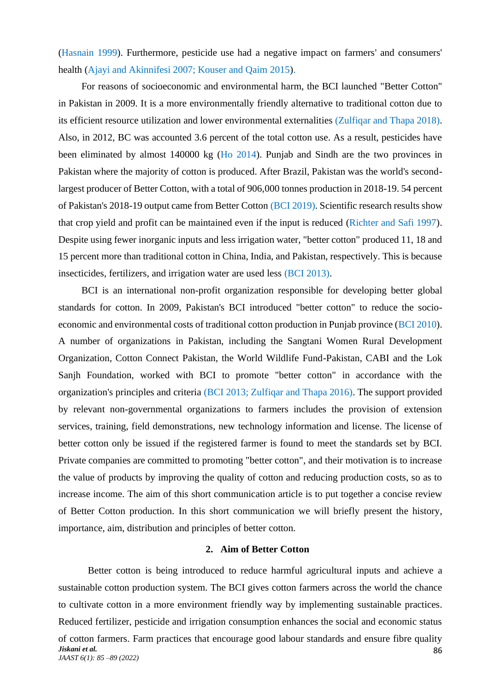[\(Hasnain 1999\)](#page-4-4). Furthermore, pesticide use had a negative impact on farmers' and consumers' health (Ajayi and Akinnifesi 2007; Kouser and Oaim 2015).

For reasons of socioeconomic and environmental harm, the BCI launched "Better Cotton" in Pakistan in 2009. It is a more environmentally friendly alternative to traditional cotton due to its efficient resource utilization and lower environmental externalities [\(Zulfiqar and Thapa 2018\)](#page-4-3). Also, in 2012, BC was accounted 3.6 percent of the total cotton use. As a result, pesticides have been eliminated by almost 140000 kg (H<sub>o</sub> 2014). Punjab and Sindh are the two provinces in Pakistan where the majority of cotton is produced. After Brazil, Pakistan was the world's secondlargest producer of Better Cotton, with a total of 906,000 tonnes production in 2018-19. 54 percent of Pakistan's 2018-19 output came from Better Cotton [\(BCI 2019\)](#page-4-4). Scientific research results show that crop yield and profit can be maintained even if the input is reduced [\(Richter and Safi 1997\)](#page-4-2). Despite using fewer inorganic inputs and less irrigation water, "better cotton" produced 11, 18 and 15 percent more than traditional cotton in China, India, and Pakistan, respectively. This is because insecticides, fertilizers, and irrigation water are used less [\(BCI 2013\)](#page-4-4).

BCI is an international non-profit organization responsible for developing better global standards for cotton. In 2009, Pakistan's BCI introduced "better cotton" to reduce the socioeconomic and environmental costs of traditional cotton production in Punjab province [\(BCI 2010\)](#page-4-4). A number of organizations in Pakistan, including the Sangtani Women Rural Development Organization, Cotton Connect Pakistan, the World Wildlife Fund-Pakistan, CABI and the Lok Sanjh Foundation, worked with BCI to promote "better cotton" in accordance with the organization's principles and criteria [\(BCI 2013; Zulfiqar and Thapa 2016\)](#page-4-3). The support provided by relevant non-governmental organizations to farmers includes the provision of extension services, training, field demonstrations, new technology information and license. The license of better cotton only be issued if the registered farmer is found to meet the standards set by BCI. Private companies are committed to promoting "better cotton", and their motivation is to increase the value of products by improving the quality of cotton and reducing production costs, so as to increase income. The aim of this short communication article is to put together a concise review of Better Cotton production. In this short communication we will briefly present the history, importance, aim, distribution and principles of better cotton.

#### **2. Aim of Better Cotton**

Better cotton is being introduced to reduce harmful agricultural inputs and achieve a sustainable cotton production system. The BCI gives cotton farmers across the world the chance to cultivate cotton in a more environment friendly way by implementing sustainable practices. Reduced fertilizer, pesticide and irrigation consumption enhances the social and economic status of cotton farmers. Farm practices that encourage good labour standards and ensure fibre quality

*Jiskani et al. JAAST 6(1): 85 –89 (2022)*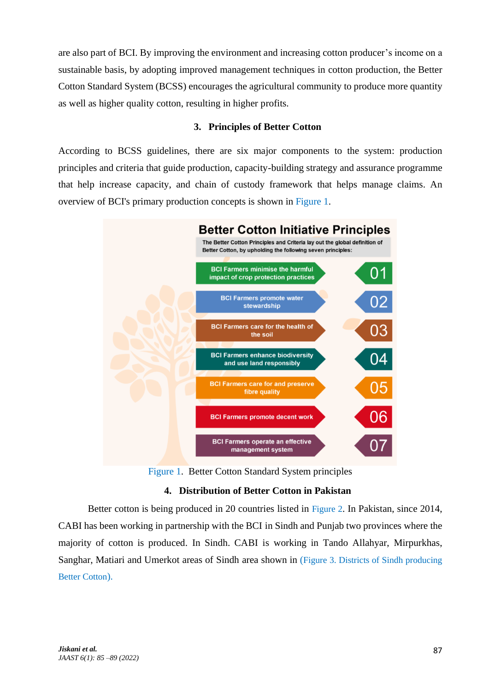are also part of BCI. By improving the environment and increasing cotton producer's income on a sustainable basis, by adopting improved management techniques in cotton production, the Better Cotton Standard System (BCSS) encourages the agricultural community to produce more quantity as well as higher quality cotton, resulting in higher profits.

# **3. Principles of Better Cotton**

According to BCSS guidelines, there are six major components to the system: production principles and criteria that guide production, capacity-building strategy and assurance programme that help increase capacity, and chain of custody framework that helps manage claims. An overview of BCI's primary production concepts is shown in [Figure](#page-2-0) 1.



Figure 1. Better Cotton Standard System principles

# **4. Distribution of Better Cotton in Pakistan**

<span id="page-2-0"></span>Better cotton is being produced in 20 countries listed in [Figure 2](#page-3-0). In Pakistan, since 2014, CABI has been working in partnership with the BCI in Sindh and Punjab two provinces where the majority of cotton is produced. In Sindh. CABI is working in Tando Allahyar, Mirpurkhas, Sanghar, Matiari and Umerkot areas of Sindh area shown in (Figure 3. [Districts of Sindh producing](#page-3-1)  [Better Cotton](#page-3-1)).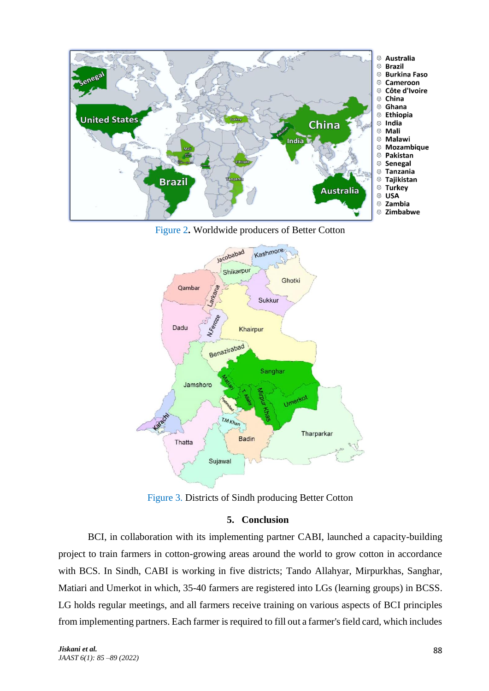

Figure 2**.** Worldwide producers of Better Cotton

<span id="page-3-0"></span>

Figure 3. Districts of Sindh producing Better Cotton

# **5. Conclusion**

<span id="page-3-1"></span>BCI, in collaboration with its implementing partner CABI, launched a capacity-building project to train farmers in cotton-growing areas around the world to grow cotton in accordance with BCS. In Sindh, CABI is working in five districts; Tando Allahyar, Mirpurkhas, Sanghar, Matiari and Umerkot in which, 35-40 farmers are registered into LGs (learning groups) in BCSS. LG holds regular meetings, and all farmers receive training on various aspects of BCI principles from implementing partners. Each farmer is required to fill out a farmer's field card, which includes